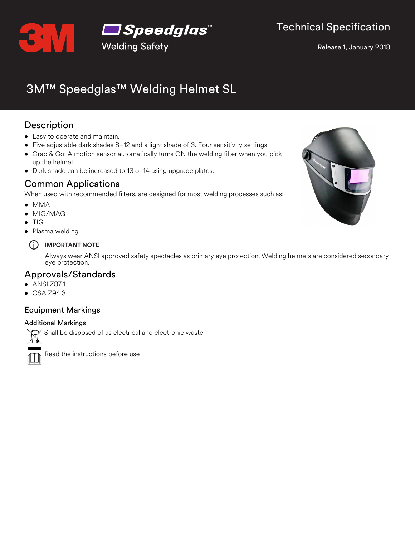

Release 1, January 2018

# 3M™ Speedglas™ Welding Helmet SL

# Description

- Easy to operate and maintain.
- Five adjustable dark shades 8–12 and a light shade of 3. Four sensitivity settings.
- Grab & Go: A motion sensor automatically turns ON the welding filter when you pick up the helmet.
- Dark shade can be increased to 13 or 14 using upgrade plates.

## Common Applications

When used with recommended filters, are designed for most welding processes such as:

- MMA
- MIG/MAG
- $\bullet$  TIG
- Plasma welding

#### i **IMPORTANT NOTE**

Always wear ANSI approved safety spectacles as primary eye protection. Welding helmets are considered secondary eye protection.

### Approvals/Standards

- ANSI Z87.1
- CSA Z94.3

### Equipment Markings

#### Additional Markings

Shall be disposed of as electrical and electronic waste



Read the instructions before use

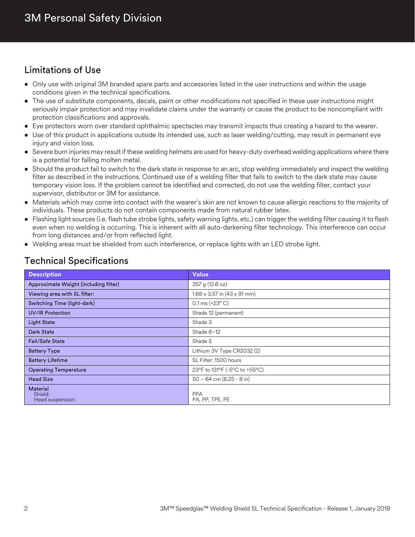# Limitations of Use

- Only use with original 3M branded spare parts and accessories listed in the user instructions and within the usage conditions given in the technical specifications.
- The use of substitute components, decals, paint or other modifications not specified in these user instructions might seriously impair protection and may invalidate claims under the warranty or cause the product to be noncompliant with protection classifications and approvals.
- Eye protectors worn over standard ophthalmic spectacles may transmit impacts thus creating a hazard to the wearer.
- Use of this product in applications outside its intended use, such as laser welding/cutting, may result in permanent eye injury and vision loss.
- Severe burn injuries may result if these welding helmets are used for heavy-duty overhead welding applications where there is a potential for falling molten metal.
- Should the product fail to switch to the dark state in response to an arc, stop welding immediately and inspect the welding filter as described in the instructions. Continued use of a welding filter that fails to switch to the dark state may cause temporary vision loss. If the problem cannot be identified and corrected, do not use the welding filter, contact your supervisor, distributor or 3M for assistance.
- Materials which may come into contact with the wearer's skin are not known to cause allergic reactions to the majority of individuals. These products do not contain components made from natural rubber latex.
- Flashing light sources (i.e. flash tube strobe lights, safety warning lights, etc.) can trigger the welding filter causing it to flash even when no welding is occurring. This is inherent with all auto-darkening filter technology. This interference can occur from long distances and/or from reflected light.
- Welding areas must be shielded from such interference, or replace lights with an LED strobe light.

| <b>Description</b>                             | <b>Value</b>                              |  |
|------------------------------------------------|-------------------------------------------|--|
| Approximate Weight (including filter)          | 357 g (12.6 oz)                           |  |
| Viewing area with SL filter:                   | $1.68 \times 3.57$ in $(43 \times 91$ mm) |  |
| Switching Time (light-dark)                    | $0.1 \text{ ms } (+23^{\circ} \text{ C})$ |  |
| <b>UV/IR Protection</b>                        | Shade 12 (permanent)                      |  |
| <b>Light State</b>                             | Shade 3                                   |  |
| <b>Dark State</b>                              | Shade 8-12                                |  |
| <b>Fail/Safe State</b>                         | Shade 5                                   |  |
| <b>Battery Type</b>                            | Lithium 3V Type CR2032 (2)                |  |
| <b>Battery Lifetime</b>                        | SL Filter: 1500 hours                     |  |
| <b>Operating Temperature</b>                   | 23°F to 131°F (-5°C to +55°C)             |  |
| <b>Head Size</b>                               | $50 - 64$ cm $(6.25 - 8$ in)              |  |
| <b>Material</b><br>Shield:<br>Head suspension: | <b>PPA</b><br>PA, PP, TPE, PE             |  |

### Technical Specifications